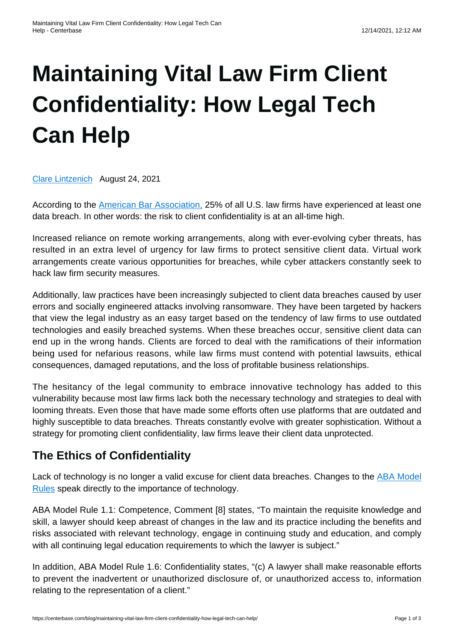# **[Maintaining Vital Law Firm Client](https://centerbase.com/blog/maintaining-vital-law-firm-client-confidentiality-how-legal-tech-can-help/) [Confidentiality: How Legal Tech](https://centerbase.com/blog/maintaining-vital-law-firm-client-confidentiality-how-legal-tech-can-help/) [Can Help](https://centerbase.com/blog/maintaining-vital-law-firm-client-confidentiality-how-legal-tech-can-help/)**

[Clare Lintzenich](https://centerbase.com/blog/author/clare-lintzenich/) August 24, 2021

According to the [American Bar Association,](https://www.americanbar.org/groups/cybersecurity/) 25% of all U.S. law firms have experienced at least one data breach. In other words: the risk to client confidentiality is at an all-time high.

Increased reliance on remote working arrangements, along with ever-evolving cyber threats, has resulted in an extra level of urgency for law firms to protect sensitive client data. Virtual work arrangements create various opportunities for breaches, while cyber attackers constantly seek to hack law firm security measures.

Additionally, law practices have been increasingly subjected to client data breaches caused by user errors and socially engineered attacks involving ransomware. They have been targeted by hackers that view the legal industry as an easy target based on the tendency of law firms to use outdated technologies and easily breached systems. When these breaches occur, sensitive client data can end up in the wrong hands. Clients are forced to deal with the ramifications of their information being used for nefarious reasons, while law firms must contend with potential lawsuits, ethical consequences, damaged reputations, and the loss of profitable business relationships.

The hesitancy of the legal community to embrace innovative technology has added to this vulnerability because most law firms lack both the necessary technology and strategies to deal with looming threats. Even those that have made some efforts often use platforms that are outdated and highly susceptible to data breaches. Threats constantly evolve with greater sophistication. Without a strategy for promoting client confidentiality, law firms leave their client data unprotected.

## **The Ethics of Confidentiality**

Lack of technology is no longer a valid excuse for client data breaches. Changes to the [ABA Model](https://www.americanbar.org/groups/professional_responsibility/publications/model_rules_of_professional_conduct/model_rules_of_professional_conduct_table_of_contents/) [Rules](https://www.americanbar.org/groups/professional_responsibility/publications/model_rules_of_professional_conduct/model_rules_of_professional_conduct_table_of_contents/) speak directly to the importance of technology.

ABA Model Rule 1.1: Competence, Comment [8] states, "To maintain the requisite knowledge and skill, a lawyer should keep abreast of changes in the law and its practice including the benefits and risks associated with relevant technology, engage in continuing study and education, and comply with all continuing legal education requirements to which the lawyer is subject."

In addition, ABA Model Rule 1.6: Confidentiality states, "(c) A lawyer shall make reasonable efforts to prevent the inadvertent or unauthorized disclosure of, or unauthorized access to, information relating to the representation of a client."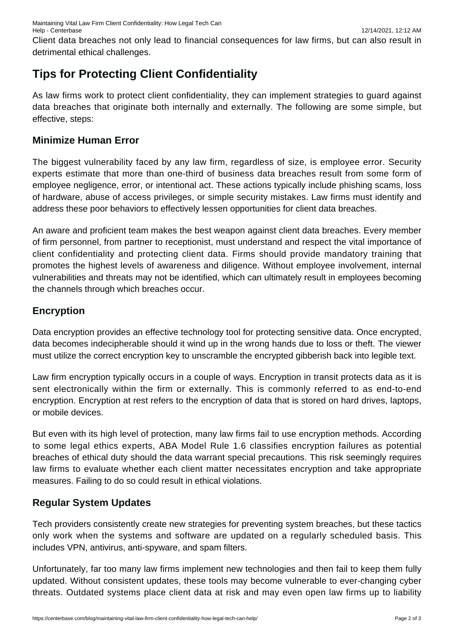Maintaining Vital Law Firm Client Confidentiality: How Legal Tech Can Help - Centerbase 12/14/2021, 12:12 AM

Client data breaches not only lead to financial consequences for law firms, but can also result in detrimental ethical challenges.

## **Tips for Protecting Client Confidentiality**

As law firms work to protect client confidentiality, they can implement strategies to guard against data breaches that originate both internally and externally. The following are some simple, but effective, steps:

#### **Minimize Human Error**

The biggest vulnerability faced by any law firm, regardless of size, is employee error. Security experts estimate that more than one-third of business data breaches result from some form of employee negligence, error, or intentional act. These actions typically include phishing scams, loss of hardware, abuse of access privileges, or simple security mistakes. Law firms must identify and address these poor behaviors to effectively lessen opportunities for client data breaches.

An aware and proficient team makes the best weapon against client data breaches. Every member of firm personnel, from partner to receptionist, must understand and respect the vital importance of client confidentiality and protecting client data. Firms should provide mandatory training that promotes the highest levels of awareness and diligence. Without employee involvement, internal vulnerabilities and threats may not be identified, which can ultimately result in employees becoming the channels through which breaches occur.

#### **Encryption**

Data encryption provides an effective technology tool for protecting sensitive data. Once encrypted, data becomes indecipherable should it wind up in the wrong hands due to loss or theft. The viewer must utilize the correct encryption key to unscramble the encrypted gibberish back into legible text.

Law firm encryption typically occurs in a couple of ways. Encryption in transit protects data as it is sent electronically within the firm or externally. This is commonly referred to as end-to-end encryption. Encryption at rest refers to the encryption of data that is stored on hard drives, laptops, or mobile devices.

But even with its high level of protection, many law firms fail to use encryption methods. According to some legal ethics experts, ABA Model Rule 1.6 classifies encryption failures as potential breaches of ethical duty should the data warrant special precautions. This risk seemingly requires law firms to evaluate whether each client matter necessitates encryption and take appropriate measures. Failing to do so could result in ethical violations.

#### **Regular System Updates**

Tech providers consistently create new strategies for preventing system breaches, but these tactics only work when the systems and software are updated on a regularly scheduled basis. This includes VPN, antivirus, anti-spyware, and spam filters.

Unfortunately, far too many law firms implement new technologies and then fail to keep them fully updated. Without consistent updates, these tools may become vulnerable to ever-changing cyber threats. Outdated systems place client data at risk and may even open law firms up to liability